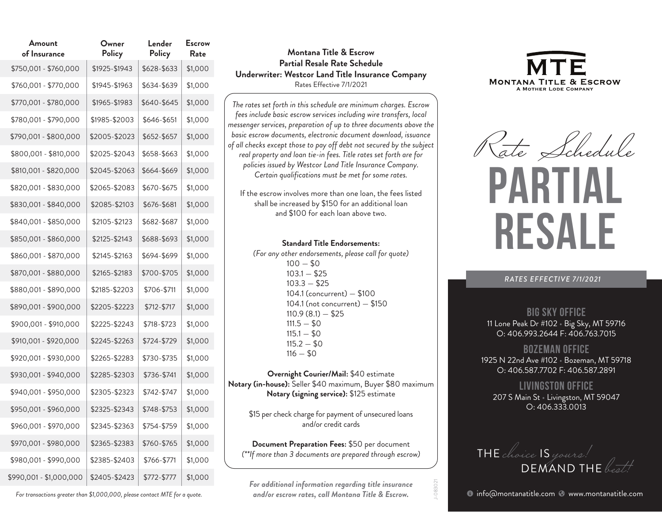| Amount<br>of Insurance  | Owner<br>Policy | Lender<br>Policy | <b>Escrow</b><br>Rate |
|-------------------------|-----------------|------------------|-----------------------|
| \$750,001 - \$760,000   | \$1925-\$1943   | \$628-\$633      | \$1,000               |
| \$760,001 - \$770,000   | \$1945-\$1963   | \$634-\$639      | \$1,000               |
| \$770,001 - \$780,000   | \$1965-\$1983   | \$640-\$645      | \$1,000               |
| \$780,001 - \$790,000   | \$1985-\$2003   | \$646-\$651      | \$1,000               |
| \$790,001 - \$800,000   | \$2005-\$2023   | \$652-\$657      | \$1,000               |
| \$800,001 - \$810,000   | \$2025-\$2043   | \$658-\$663      | \$1,000               |
| \$810,001 - \$820,000   | \$2045-\$2063   | \$664-\$669      | \$1,000               |
| \$820,001 - \$830,000   | \$2065-\$2083   | \$670-\$675      | \$1,000               |
| \$830,001 - \$840,000   | \$2085-\$2103   | \$676-\$681      | \$1,000               |
| \$840,001 - \$850,000   | \$2105-\$2123   | \$682-\$687      | \$1,000               |
| \$850,001 - \$860,000   | \$2125-\$2143   | \$688-\$693      | \$1,000               |
| \$860,001 - \$870,000   | \$2145-\$2163   | \$694-\$699      | \$1,000               |
| \$870,001 - \$880,000   | \$2165-\$2183   | \$700-\$705      | \$1,000               |
| \$880,001 - \$890,000   | \$2185-\$2203   | \$706-\$711      | \$1,000               |
| \$890,001 - \$900,000   | \$2205-\$2223   | \$712-\$717      | \$1,000               |
| \$900,001 - \$910,000   | \$2225-\$2243   | \$718-\$723      | \$1,000               |
| \$910,001 - \$920,000   | \$2245-\$2263   | \$724-\$729      | \$1,000               |
| \$920,001 - \$930,000   | \$2265-\$2283   | \$730-\$735      | \$1,000               |
| \$930,001 - \$940,000   | \$2285-\$2303   | \$736-\$741      | \$1,000               |
| \$940,001 - \$950,000   | \$2305-\$2323   | \$742-\$747      | \$1,000               |
| \$950,001 - \$960,000   | \$2325-\$2343   | \$748-\$753      | \$1,000               |
| \$960,001 - \$970,000   | \$2345-\$2363   | \$754-\$759      | \$1,000               |
| \$970,001 - \$980,000   | \$2365-\$2383   | \$760-\$765      | \$1,000               |
| \$980,001 - \$990,000   | \$2385-\$2403   | \$766-\$771      | \$1,000               |
| \$990,001 - \$1,000,000 | \$2405-\$2423   | \$772-\$777      | \$1,000               |

## **Montana Title & Escrow Partial Resale Rate Schedule Underwriter: Westcor Land Title Insurance Company** Rates Effective 7/1/2021

*The rates set forth in this schedule are minimum charges. Escrow fees include basic escrow services including wire transfers, local messenger services, preparation of up to three documents above the basic escrow documents, electronic document download, issuance of all checks except those to pay off debt not secured by the subject real property and loan tie-in fees. Title rates set forth are for policies issued by Westcor Land Title Insurance Company. Certain qualifications must be met for some rates.*

If the escrow involves more than one loan, the fees listed shall be increased by \$150 for an additional loan and \$100 for each loan above two.

### **Standard Title Endorsements:**

*(For any other endorsements, please call for quote)*  $100 - $0$  $103.1 - $25$  $103.3 - $25$  104.1 (concurrent) — \$100 104.1 (not concurrent) — \$150  $110.9(8.1) - $25$  $111.5 - $0$  $115.1 - $0$  $115.2 - $0$  $116 - $0$ 

**Overnight Courier/Mail:** \$40 estimate **Notary (in-house):** Seller \$40 maximum, Buyer \$80 maximum **Notary (signing service):** \$125 estimate

\$15 per check charge for payment of unsecured loans and/or credit cards

**Document Preparation Fees:** \$50 per document *(\*\*If more than 3 documents are prepared through escrow)* 

*For additional information regarding title insurance and/or escrow rates, call Montana Title & Escrow.* 

J-083021



Rate Schedule

# **PARTIA RESALE**

*RATES EFFECTIVE 7/1/2021*

# **Big Sky Office**

11 Lone Peak Dr #102 • Big Sky, MT 59716 O: 406.993.2644 F: 406.763.7015

# **Bozeman Office**

1925 N 22nd Ave #102 • Bozeman, MT 59718 O: 406.587.7702 F: 406.587.2891

**Livingston Office** 207 S Main St · Livingston, MT 59047 O: 406.333.0013



*For transactions greater than \$1,000,000, please contact MTE for a quote.* 

**•** info@montanatitle.com • www.montanatitle.com